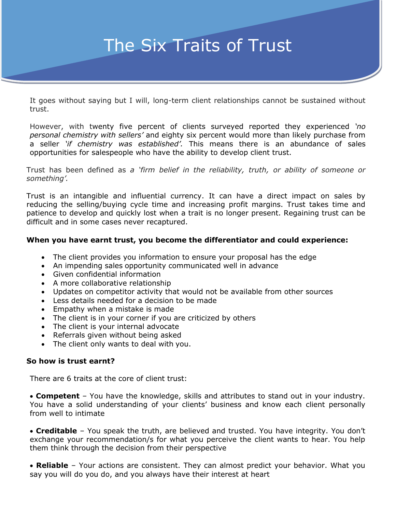## The Six Traits of Trust

It goes without saying but I will, long-term client relationships cannot be sustained without trust.

–

However, with twenty five percent of clients surveyed reported they experienced *'no personal chemistry with sellers'* and eighty six percent would more than likely purchase from a seller *'if chemistry was established'.* This means there is an abundance of sales opportunities for salespeople who have the ability to develop client trust.

Trust has been defined as *a 'firm belief in the reliability, truth, or ability of someone or something'.*

Trust is an intangible and influential currency. It can have a direct impact on sales by reducing the selling/buying cycle time and increasing profit margins. Trust takes time and patience to develop and quickly lost when a trait is no longer present. Regaining trust can be difficult and in some cases never recaptured.

## **When you have earnt trust, you become the differentiator and could experience:**

- The client provides you information to ensure your proposal has the edge
- An impending sales opportunity communicated well in advance
- Given confidential information
- A more collaborative relationship
- Updates on competitor activity that would not be available from other sources
- Less details needed for a decision to be made
- Empathy when a mistake is made
- The client is in your corner if you are criticized by others
- The client is your internal advocate
- Referrals given without being asked
- The client only wants to deal with you.

## **So how is trust earnt?**

There are 6 traits at the core of client trust:

• **Competent** – You have the knowledge, skills and attributes to stand out in your industry. You have a solid understanding of your clients' business and know each client personally from well to intimate

• **Creditable** – You speak the truth, are believed and trusted. You have integrity. You don't exchange your recommendation/s for what you perceive the client wants to hear. You help them think through the decision from their perspective

• **Reliable** – Your actions are consistent. They can almost predict your behavior. What you say you will do you do, and you always have their interest at heart